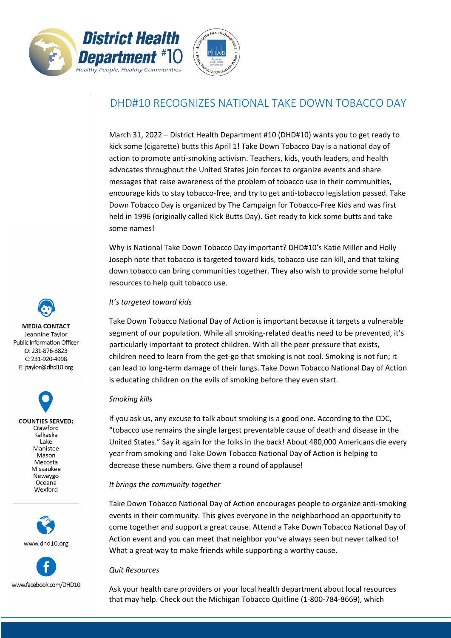



# DHD#10 RECOGNIZES NATIONAL TAKE DOWN TOBACCO DAY

March 31, 2022 – District Health Department #10 (DHD#10) wants you to get ready to kick some (cigarette) butts this April 1! Take Down Tobacco Day is a national day of action to promote anti-smoking activism. Teachers, kids, youth leaders, and health advocates throughout the United States join forces to organize events and share messages that raise awareness of the problem of tobacco use in their communities, encourage kids to stay tobacco-free, and try to get anti-tobacco legislation passed. Take Down Tobacco Day is organized by The Campaign for Tobacco-Free Kids and was first held in 1996 (originally called Kick Butts Day). Get ready to kick some butts and take some names!

Why is National Take Down Tobacco Day important? DHD#10's Katie Miller and Holly Joseph note that tobacco is targeted toward kids, tobacco use can kill, and that taking down tobacco can bring communities together. They also wish to provide some helpful resources to help quit tobacco use.

## *It's targeted toward kids*

Take Down Tobacco National Day of Action is important because it targets a vulnerable segment of our population. While all smoking-related deaths need to be prevented, it's particularly important to protect children. With all the peer pressure that exists, children need to learn from the get-go that smoking is not cool. Smoking is not fun; it can lead to long-term damage of their lungs. Take Down Tobacco National Day of Action is educating children on the evils of smoking before they even start.

### *Smoking kills*

If you ask us, any excuse to talk about smoking is a good one. According to the CDC, "tobacco use remains the single largest preventable cause of death and disease in the United States." Say it again for the folks in the back! About 480,000 Americans die every year from smoking and Take Down Tobacco National Day of Action is helping to decrease these numbers. Give them a round of applause!

### *It brings the community together*

Take Down Tobacco National Day of Action encourages people to organize anti-smoking events in their community. This gives everyone in the neighborhood an opportunity to come together and support a great cause. Attend a Take Down Tobacco National Day of Action event and you can meet that neighbor you've always seen but never talked to! What a great way to make friends while supporting a worthy cause.

#### *Quit Resources*

Ask your health care providers or your local health department about local resources that may help. Check out the Michigan Tobacco Quitline (1-800-784-8669), which

**MEDIA CONTACT** Jeannine Taylor Public Information Officer O: 231-876-3823 C: 231-920-4998 E: jtaylor@dhd10.org

> **COUNTIES SERVED:** Crawford Kalkaska Lake Manistee Mason Mecosta Missaukee Newaygo Oceana Wexford